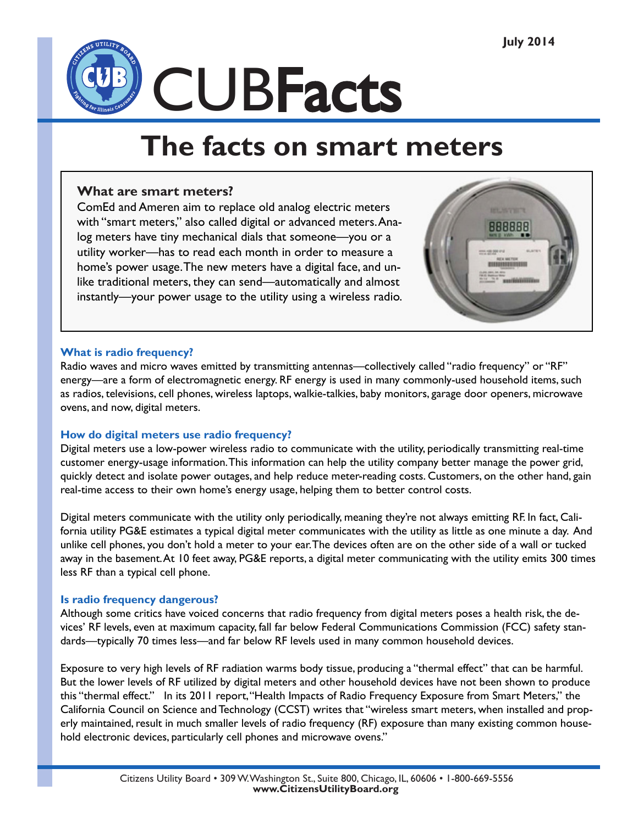

# **The facts on smart meters**

# **What are smart meters?**

ComEd and Ameren aim to replace old analog electric meters with "smart meters," also called digital or advanced meters. Analog meters have tiny mechanical dials that someone—you or a utility worker—has to read each month in order to measure a home's power usage. The new meters have a digital face, and unlike traditional meters, they can send—automatically and almost instantly—your power usage to the utility using a wireless radio.



#### **What is radio frequency?**

Radio waves and micro waves emitted by transmitting antennas—collectively called "radio frequency" or "RF" energy—are a form of electromagnetic energy. RF energy is used in many commonly-used household items, such as radios, televisions, cell phones, wireless laptops, walkie-talkies, baby monitors, garage door openers, microwave ovens, and now, digital meters.

# **How do digital meters use radio frequency?**

Digital meters use a low-power wireless radio to communicate with the utility, periodically transmitting real-time customer energy-usage information. This information can help the utility company better manage the power grid, quickly detect and isolate power outages, and help reduce meter-reading costs. Customers, on the other hand, gain real-time access to their own home's energy usage, helping them to better control costs.

Digital meters communicate with the utility only periodically, meaning they're not always emitting RF. In fact, California utility PG&E estimates a typical digital meter communicates with the utility as little as one minute a day. And unlike cell phones, you don't hold a meter to your ear. The devices often are on the other side of a wall or tucked away in the basement. At 10 feet away, PG&E reports, a digital meter communicating with the utility emits 300 times less RF than a typical cell phone.

# **Is radio frequency dangerous?**

Although some critics have voiced concerns that radio frequency from digital meters poses a health risk, the devices' RF levels, even at maximum capacity, fall far below Federal Communications Commission (FCC) safety standards—typically 70 times less—and far below RF levels used in many common household devices.

Exposure to very high levels of RF radiation warms body tissue, producing a "thermal effect" that can be harmful. But the lower levels of RF utilized by digital meters and other household devices have not been shown to produce this "thermal effect." In its 2011 report, "Health Impacts of Radio Frequency Exposure from Smart Meters," the California Council on Science and Technology (CCST) writes that "wireless smart meters, when installed and properly maintained, result in much smaller levels of radio frequency (RF) exposure than many existing common household electronic devices, particularly cell phones and microwave ovens."